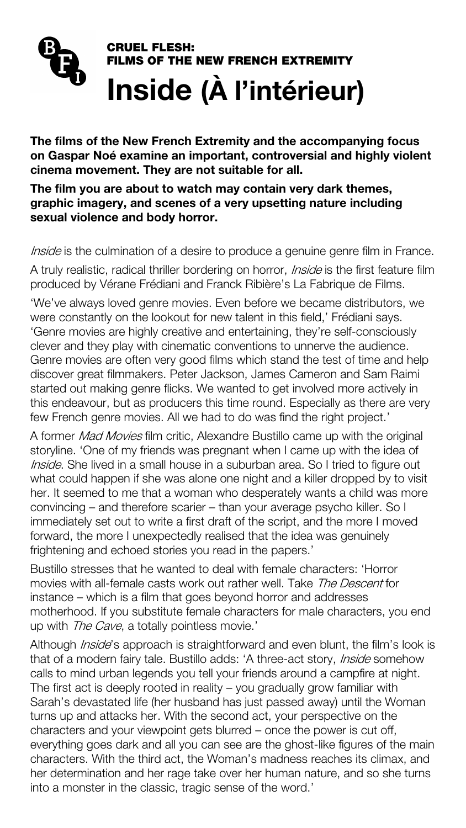# CRUEL FLESH: FILMS OF THE NEW FRENCH EXTREMITY Inside (À l'intérieur)

The films of the New French Extremity and the accompanying focus on Gaspar Noé examine an important, controversial and highly violent cinema movement. They are not suitable for all.

A truly realistic, radical thriller bordering on horror, *Inside* is the first feature film produced by Vérane Frédiani and Franck Ribière's La Fabrique de Films.

The film you are about to watch may contain very dark themes, graphic imagery, and scenes of a very upsetting nature including sexual violence and body horror.

Inside is the culmination of a desire to produce a genuine genre film in France.

'We've always loved genre movies. Even before we became distributors, we were constantly on the lookout for new talent in this field,' Frédiani says. 'Genre movies are highly creative and entertaining, they're self-consciously clever and they play with cinematic conventions to unnerve the audience. Genre movies are often very good films which stand the test of time and help discover great filmmakers. Peter Jackson, James Cameron and Sam Raimi started out making genre flicks. We wanted to get involved more actively in this endeavour, but as producers this time round. Especially as there are very few French genre movies. All we had to do was find the right project.'

A former *Mad Movies* film critic, Alexandre Bustillo came up with the original storyline. 'One of my friends was pregnant when I came up with the idea of Inside. She lived in a small house in a suburban area. So I tried to figure out what could happen if she was alone one night and a killer dropped by to visit her. It seemed to me that a woman who desperately wants a child was more convincing – and therefore scarier – than your average psycho killer. So I immediately set out to write a first draft of the script, and the more I moved forward, the more I unexpectedly realised that the idea was genuinely frightening and echoed stories you read in the papers.'

Bustillo stresses that he wanted to deal with female characters: 'Horror movies with all-female casts work out rather well. Take *The Descent* for instance – which is a film that goes beyond horror and addresses motherhood. If you substitute female characters for male characters, you end up with *The Cave*, a totally pointless movie.'

Although *Inside*'s approach is straightforward and even blunt, the film's look is that of a modern fairy tale. Bustillo adds: 'A three-act story, *Inside* somehow calls to mind urban legends you tell your friends around a campfire at night. The first act is deeply rooted in reality – you gradually grow familiar with Sarah's devastated life (her husband has just passed away) until the Woman turns up and attacks her. With the second act, your perspective on the characters and your viewpoint gets blurred – once the power is cut off, everything goes dark and all you can see are the ghost-like figures of the main characters. With the third act, the Woman's madness reaches its climax, and her determination and her rage take over her human nature, and so she turns into a monster in the classic, tragic sense of the word.'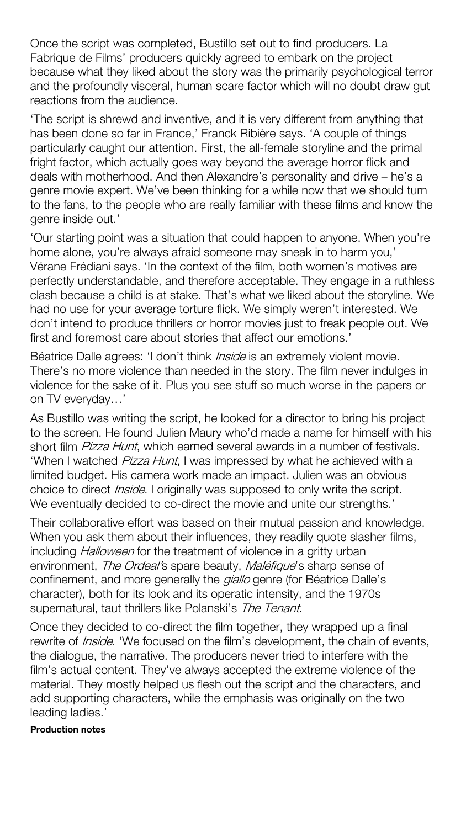Once the script was completed, Bustillo set out to find producers. La Fabrique de Films' producers quickly agreed to embark on the project because what they liked about the story was the primarily psychological terror and the profoundly visceral, human scare factor which will no doubt draw gut reactions from the audience.

'The script is shrewd and inventive, and it is very different from anything that has been done so far in France, ' Franck Ribière says. 'A couple of things particularly caught our attention. First, the all-female storyline and the primal fright factor, which actually goes way beyond the average horror flick and deals with motherhood. And then Alexandre's personality and drive – he's a genre movie expert. We've been thinking for a while now that we should turn to the fans, to the people who are really familiar with these films and know the genre inside out.'

Béatrice Dalle agrees: 'I don't think *Inside* is an extremely violent movie. There's no more violence than needed in the story. The film never indulges in violence for the sake of it. Plus you see stuff so much worse in the papers or on TV everyday…'

Their collaborative effort was based on their mutual passion and knowledge. When you ask them about their influences, they readily quote slasher films, including *Halloween* for the treatment of violence in a gritty urban environment, The Ordeal's spare beauty, Maléfique's sharp sense of confinement, and more generally the *giallo* genre (for Béatrice Dalle's character), both for its look and its operatic intensity, and the 1970s supernatural, taut thrillers like Polanski's The Tenant.

'Our starting point was a situation that could happen to anyone. When you're home alone, you're always afraid someone may sneak in to harm you,' Vérane Frédiani says. 'In the context of the film, both women's motives are perfectly understandable, and therefore acceptable. They engage in a ruthless clash because a child is at stake. That's what we liked about the storyline. We had no use for your average torture flick. We simply weren't interested. We don't intend to produce thrillers or horror movies just to freak people out. We first and foremost care about stories that affect our emotions.'

As Bustillo was writing the script, he looked for a director to bring his project to the screen. He found Julien Maury who'd made a name for himself with his short film *Pizza Hunt*, which earned several awards in a number of festivals. 'When I watched *Pizza Hunt*, I was impressed by what he achieved with a limited budget. His camera work made an impact. Julien was an obvious choice to direct *Inside*. I originally was supposed to only write the script. We eventually decided to co-direct the movie and unite our strengths.'

Once they decided to co-direct the film together, they wrapped up a final rewrite of *Inside*. 'We focused on the film's development, the chain of events, the dialogue, the narrative. The producers never tried to interfere with the film's actual content. They've always accepted the extreme violence of the material. They mostly helped us flesh out the script and the characters, and add supporting characters, while the emphasis was originally on the two leading ladies.'

## Production notes